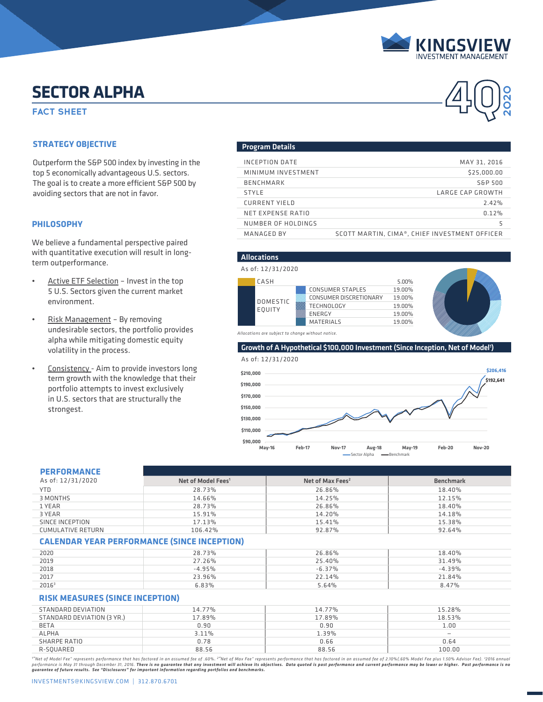

**2020**

# **SECTOR ALPHA**<br>FACT SHEET **ALPHA SECTOR ALPHA**

### **STRATEGY OBJECTIVE**

Outperform the S&P 500 index by investing in the top 5 economically advantageous U.S. sectors. The goal is to create a more efficient S&P 500 by avoiding sectors that are not in favor.

#### **PHILOSOPHY**

We believe a fundamental perspective paired with quantitative execution will result in longterm outperformance.

- Active ETF Selection Invest in the top 5 U.S. Sectors given the current market environment.
- Risk Management By removing undesirable sectors, the portfolio provides alpha while mitigating domestic equity volatility in the process.
- Consistency Aim to provide investors long term growth with the knowledge that their portfolio attempts to invest exclusively in U.S. sectors that are structurally the strongest.

#### Program Details

| INCEPTION DATE     | MAY 31, 2016                                  |
|--------------------|-----------------------------------------------|
| MINIMUM INVESTMENT | \$25,000,00                                   |
| <b>BENCHMARK</b>   | S&P 500                                       |
| <b>STYLE</b>       | LARGE CAP GROWTH                              |
| CURRENT YIELD      | 2.42%                                         |
| NET EXPENSE RATIO  | 0.12%                                         |
| NUMBER OF HOLDINGS | 5                                             |
| MANAGED BY         | SCOTT MARTIN, CIMA®, CHIEF INVESTMENT OFFICER |

#### CASH 5.00% DOMESTIC EQUITY CONSUMER STAPLES 19.00%<br>CONSUMER DISCRETIONARY 19.00% CONSUMER DISCRETIONARY TECHNOLOGY 19.00%<br>ENERGY 19.00% ENERGY MATERIALS 19.00% Allocations As of: 12/31/2020



#### Growth of A Hypothetical \$100,000 Investment (Since Inception, Net of Model<sup>1</sup>)



| <b>PERFORMANCE</b> |  |  |
|--------------------|--|--|

| FERFURMANCE              |                                |                              |                  |
|--------------------------|--------------------------------|------------------------------|------------------|
| As of: 12/31/2020        | Net of Model Fees <sup>1</sup> | Net of Max Fees <sup>2</sup> | <b>Benchmark</b> |
| YTD.                     | 28.73%                         | 26.86%                       | 18.40%           |
| 3 MONTHS                 | 14.66%                         | 14.25%                       | 12.15%           |
| 1 YEAR                   | 28.73%                         | 26.86%                       | 18.40%           |
| 3 YEAR                   | 15.91%                         | 14.20%                       | 14.18%           |
| SINCE INCEPTION          | 17.13%                         | 15.41%                       | 15.38%           |
| <b>CUMULATIVE RETURN</b> | 106.42%                        | 92.87%                       | 92.64%           |

#### **CALENDAR YEAR PERFORMANCE (SINCE INCEPTION)**

| 2020              | 28.73%   | 26.86%   | 18.40%   |
|-------------------|----------|----------|----------|
| 2019              | 27.26%   | 25.40%   | 31.49%   |
| 2018              | $-4.95%$ | $-6.37%$ | $-4.39%$ |
| 2017              | 23.96%   | 22.14%   | 21.84%   |
| 2016 <sup>3</sup> | $.83\%$  | 5.64%    | 8.47%    |

#### **RISK MEASURES (SINCE INCEPTION)**

| STANDARD DEVIATION         | 14.77% | 14.77% | 15.28%            |
|----------------------------|--------|--------|-------------------|
| STANDARD DEVIATION (3 YR.) | 17.89% | 17.89% | 18.53%            |
| <b>BETA</b>                | 0.90   | 0.90   | 1.00              |
| <b>ALPHA</b>               | 3.11%  | 1.39%  | $\qquad \qquad -$ |
| SHARPE RATIO               | 0.78   | 0.66   | 0.64              |
| R-SQUARED                  | 88.56  | 88.56  | 100.00            |
|                            |        |        |                   |

""Net of Model Fee" represents performance that has factored in an assumed fee of .60%. <sup>2</sup>"Net of Max Fee" represents performance that has factored in an assumed fee of 2.10%(.60% Model Fee plus 1.50% Advisor Fee). <sup>3</sup>201